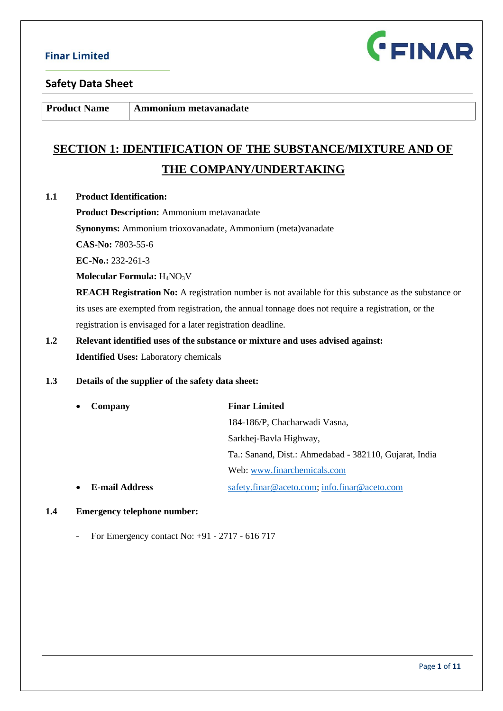

**Product Name Ammonium metavanadate** 

# **SECTION 1: IDENTIFICATION OF THE SUBSTANCE/MIXTURE AND OF THE COMPANY/UNDERTAKING**

#### **1.1 Product Identification:**

**Product Description:** Ammonium metavanadate

**Synonyms:** Ammonium trioxovanadate, Ammonium (meta)vanadate

**CAS-No:** 7803-55-6

**EC-No.:** 232-261-3

#### **Molecular Formula:** H4NO3V

**REACH Registration No:** A registration number is not available for this substance as the substance or its uses are exempted from registration, the annual tonnage does not require a registration, or the registration is envisaged for a later registration deadline.

# **1.2 Relevant identified uses of the substance or mixture and uses advised against: Identified Uses:** Laboratory chemicals

#### **1.3 Details of the supplier of the safety data sheet:**

| Company               | <b>Finar Limited</b>                                   |  |
|-----------------------|--------------------------------------------------------|--|
|                       | 184-186/P, Chacharwadi Vasna,                          |  |
|                       | Sarkhej-Bavla Highway,                                 |  |
|                       | Ta.: Sanand, Dist.: Ahmedabad - 382110, Gujarat, India |  |
|                       | Web: www.finarchemicals.com                            |  |
| <b>E-mail Address</b> | safety.finar@aceto.com; info.finar@aceto.com           |  |

#### **1.4 Emergency telephone number:**

- For Emergency contact No: +91 - 2717 - 616 717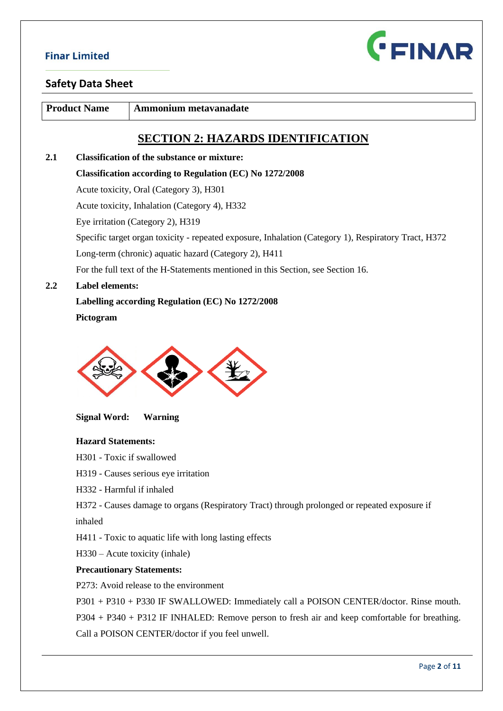

### **Safety Data Sheet**

**Product Name Ammonium metavanadate** 

# **SECTION 2: HAZARDS IDENTIFICATION**

**2.1 Classification of the substance or mixture: Classification according to Regulation (EC) No 1272/2008** Acute toxicity, Oral (Category 3), H301 Acute toxicity, Inhalation (Category 4), H332 Eye irritation (Category 2), H319 Specific target organ toxicity - repeated exposure, Inhalation (Category 1), Respiratory Tract, H372 Long-term (chronic) aquatic hazard (Category 2), H411 For the full text of the H-Statements mentioned in this Section, see Section 16. **2.2 Label elements:**

### **Labelling according Regulation (EC) No 1272/2008**

 **Pictogram** 



**Signal Word: Warning**

#### **Hazard Statements:**

H301 - Toxic if swallowed

H319 - Causes serious eye irritation

H332 - Harmful if inhaled

H372 - Causes damage to organs (Respiratory Tract) through prolonged or repeated exposure if

inhaled

H411 - Toxic to aquatic life with long lasting effects

H330 – Acute toxicity (inhale)

#### **Precautionary Statements:**

P273: Avoid release to the environment

P301 + P310 + P330 IF SWALLOWED: Immediately call a POISON CENTER/doctor. Rinse mouth.

P304 + P340 + P312 IF INHALED: Remove person to fresh air and keep comfortable for breathing.

Call a POISON CENTER/doctor if you feel unwell.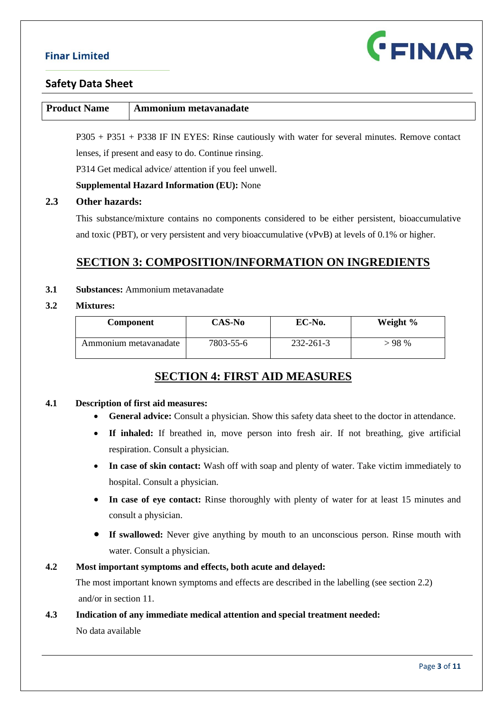

### **Safety Data Sheet**

| <b>Product Name</b> | Ammonium metavanadate                                                                            |
|---------------------|--------------------------------------------------------------------------------------------------|
|                     | $P305 + P351 + P338$ IF IN EYES: Rinse cautiously with water for several minutes. Remove contact |

lenses, if present and easy to do. Continue rinsing.

P314 Get medical advice/ attention if you feel unwell.

**Supplemental Hazard Information (EU):** None

#### **2.3 Other hazards:**

This substance/mixture contains no components considered to be either persistent, bioaccumulative and toxic (PBT), or very persistent and very bioaccumulative (vPvB) at levels of 0.1% or higher.

# **SECTION 3: COMPOSITION/INFORMATION ON INGREDIENTS**

#### **3.1 Substances:** Ammonium metavanadate

#### **3.2 Mixtures:**

| <b>Component</b>      | <b>CAS-No</b> | EC-No.    | Weight % |
|-----------------------|---------------|-----------|----------|
| Ammonium metavanadate | 7803-55-6     | 232-261-3 | $-98%$   |

# **SECTION 4: FIRST AID MEASURES**

#### **4.1 Description of first aid measures:**

- **General advice:** Consult a physician. Show this safety data sheet to the doctor in attendance.
- **If inhaled:** If breathed in, move person into fresh air. If not breathing, give artificial respiration. Consult a physician.
- **In case of skin contact:** Wash off with soap and plenty of water. Take victim immediately to hospital. Consult a physician.
- In case of eye contact: Rinse thoroughly with plenty of water for at least 15 minutes and consult a physician.
- **If swallowed:** Never give anything by mouth to an unconscious person. Rinse mouth with water. Consult a physician.

#### **4.2 Most important symptoms and effects, both acute and delayed:**

The most important known symptoms and effects are described in the labelling (see section 2.2) and/or in section 11.

### **4.3 Indication of any immediate medical attention and special treatment needed:**

No data available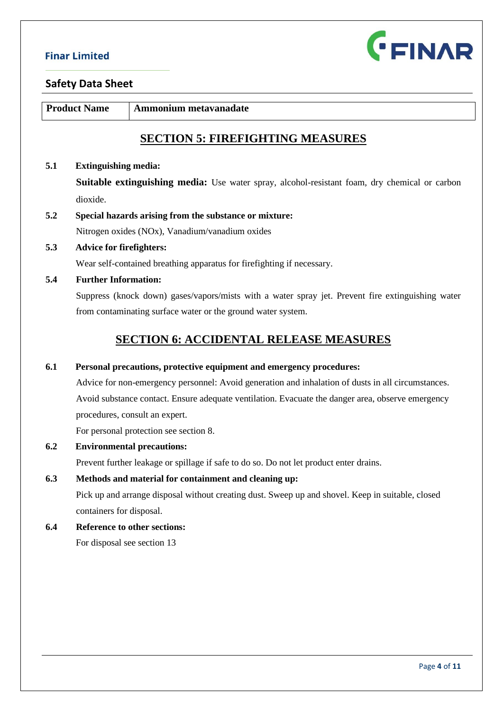

**Product Name Ammonium metavanadate** 

# **SECTION 5: FIREFIGHTING MEASURES**

#### **5.1 Extinguishing media:**

**Suitable extinguishing media:** Use water spray, alcohol-resistant foam, dry chemical or carbon dioxide.

- **5.2 Special hazards arising from the substance or mixture:** Nitrogen oxides (NOx), Vanadium/vanadium oxides
- **5.3 Advice for firefighters:**

Wear self-contained breathing apparatus for firefighting if necessary.

### **5.4 Further Information:**

Suppress (knock down) gases/vapors/mists with a water spray jet. Prevent fire extinguishing water from contaminating surface water or the ground water system.

# **SECTION 6: ACCIDENTAL RELEASE MEASURES**

#### **6.1 Personal precautions, protective equipment and emergency procedures:**

Advice for non-emergency personnel: Avoid generation and inhalation of dusts in all circumstances. Avoid substance contact. Ensure adequate ventilation. Evacuate the danger area, observe emergency procedures, consult an expert.

For personal protection see section 8.

#### **6.2 Environmental precautions:**

Prevent further leakage or spillage if safe to do so. Do not let product enter drains.

#### **6.3 Methods and material for containment and cleaning up:**

Pick up and arrange disposal without creating dust. Sweep up and shovel. Keep in suitable, closed containers for disposal.

# **6.4 Reference to other sections:**

For disposal see section 13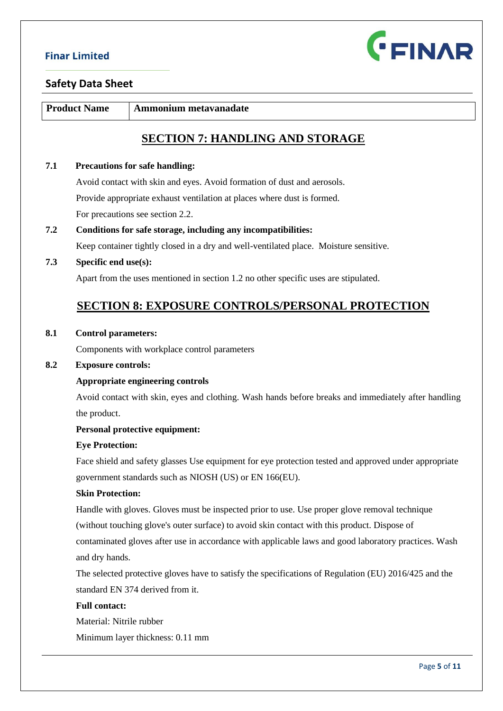

**Product Name Ammonium metavanadate** 

# **SECTION 7: HANDLING AND STORAGE**

### **7.1 Precautions for safe handling:**

 Avoid contact with skin and eyes. Avoid formation of dust and aerosols. Provide appropriate exhaust ventilation at places where dust is formed. For precautions see section 2.2.

# **7.2 Conditions for safe storage, including any incompatibilities:**  Keep container tightly closed in a dry and well-ventilated place. Moisture sensitive.

#### **7.3 Specific end use(s):**

Apart from the uses mentioned in section 1.2 no other specific uses are stipulated.

# **SECTION 8: EXPOSURE CONTROLS/PERSONAL PROTECTION**

#### **8.1 Control parameters:**

Components with workplace control parameters

#### **8.2 Exposure controls:**

#### **Appropriate engineering controls**

Avoid contact with skin, eyes and clothing. Wash hands before breaks and immediately after handling the product.

#### **Personal protective equipment:**

#### **Eye Protection:**

Face shield and safety glasses Use equipment for eye protection tested and approved under appropriate government standards such as NIOSH (US) or EN 166(EU).

#### **Skin Protection:**

Handle with gloves. Gloves must be inspected prior to use. Use proper glove removal technique

(without touching glove's outer surface) to avoid skin contact with this product. Dispose of

contaminated gloves after use in accordance with applicable laws and good laboratory practices. Wash and dry hands.

The selected protective gloves have to satisfy the specifications of Regulation (EU) 2016/425 and the standard EN 374 derived from it.

#### **Full contact:**

Material: Nitrile rubber

Minimum layer thickness: 0.11 mm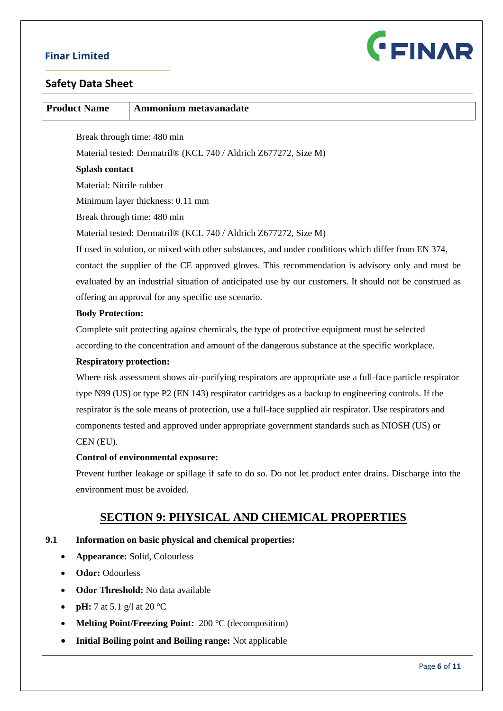

### **Safety Data Sheet**

| <b>Product Name</b>      | Ammonium metavanadate                                                                                   |
|--------------------------|---------------------------------------------------------------------------------------------------------|
|                          |                                                                                                         |
|                          | Break through time: 480 min                                                                             |
|                          | Material tested: Dermatril® (KCL 740 / Aldrich Z677272, Size M)                                         |
| <b>Splash contact</b>    |                                                                                                         |
| Material: Nitrile rubber |                                                                                                         |
|                          | Minimum layer thickness: 0.11 mm                                                                        |
|                          | Break through time: 480 min                                                                             |
|                          | Material tested: Dermatril® (KCL 740 / Aldrich Z677272, Size M)                                         |
|                          | If used in solution, or mixed with other substances, and under conditions which differ from EN 374,     |
|                          | contact the supplier of the CE approved gloves. This recommendation is advisory only and must be        |
|                          | evaluated by an industrial situation of anticipated use by our customers. It should not be construed as |
|                          | offering an approval for any specific use scenario.                                                     |

#### **Body Protection:**

Complete suit protecting against chemicals, the type of protective equipment must be selected according to the concentration and amount of the dangerous substance at the specific workplace.

#### **Respiratory protection:**

Where risk assessment shows air-purifying respirators are appropriate use a full-face particle respirator type N99 (US) or type P2 (EN 143) respirator cartridges as a backup to engineering controls. If the respirator is the sole means of protection, use a full-face supplied air respirator. Use respirators and components tested and approved under appropriate government standards such as NIOSH (US) or CEN (EU).

### **Control of environmental exposure:**

Prevent further leakage or spillage if safe to do so. Do not let product enter drains. Discharge into the environment must be avoided.

## **SECTION 9: PHYSICAL AND CHEMICAL PROPERTIES**

### **9.1 Information on basic physical and chemical properties:**

- **Appearance:** Solid, Colourless
- **Odor:** Odourless
- **Odor Threshold:** No data available
- **pH:** 7 at 5.1 g/l at 20  $^{\circ}$ C
- **Melting Point/Freezing Point:** 200 °C (decomposition)
- **Initial Boiling point and Boiling range:** Not applicable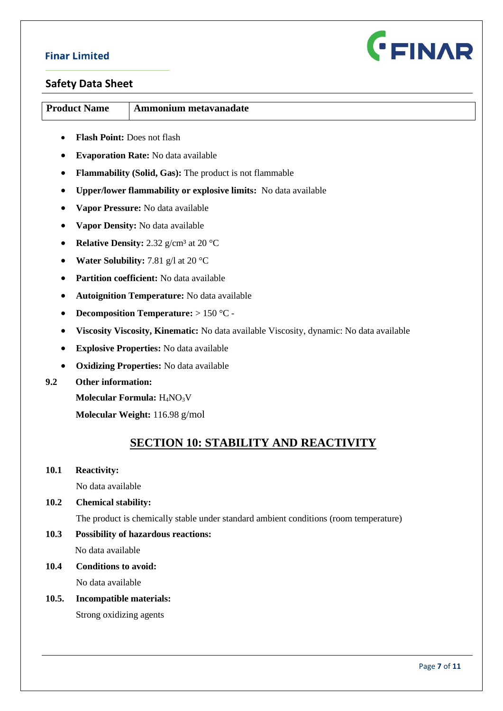

### **Safety Data Sheet**

| <b>Product Name</b> | Ammonium metavanadate |
|---------------------|-----------------------|
|                     |                       |

- **Flash Point:** Does not flash
- **Evaporation Rate:** No data available
- **Flammability (Solid, Gas):** The product is not flammable
- **Upper/lower flammability or explosive limits:** No data available
- **Vapor Pressure:** No data available
- **Vapor Density:** No data available
- **Relative Density:** 2.32 g/cm<sup>3</sup> at 20 °C
- **Water Solubility:** 7.81 g/l at 20 °C
- **Partition coefficient:** No data available
- **Autoignition Temperature:** No data available
- **Decomposition Temperature:** > 150 °C -
- **Viscosity Viscosity, Kinematic:** No data available Viscosity, dynamic: No data available
- **Explosive Properties:** No data available
- **Oxidizing Properties:** No data available
- **9.2 Other information:**

**Molecular Formula:** H4NO3V

**Molecular Weight:** 116.98 g/mol

# **SECTION 10: STABILITY AND REACTIVITY**

**10.1 Reactivity:** 

No data available

**10.2 Chemical stability:**

The product is chemically stable under standard ambient conditions (room temperature)

- **10.3 Possibility of hazardous reactions:**  No data available
- **10.4 Conditions to avoid:**

No data available

**10.5. Incompatible materials:** 

Strong oxidizing agents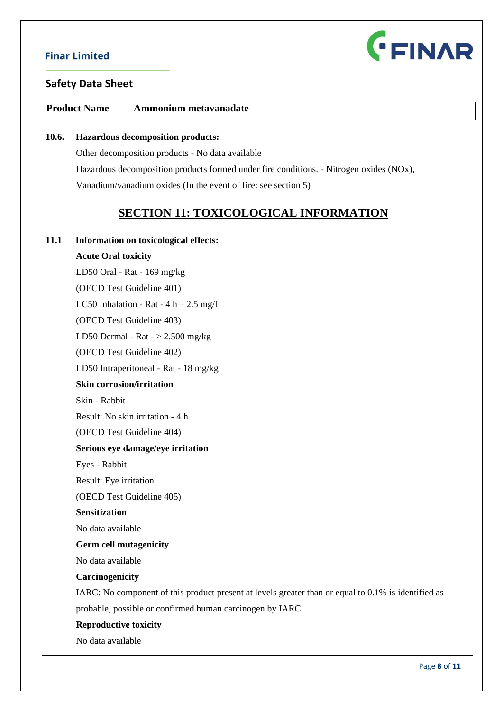

### **Safety Data Sheet**

| <b>Product Name</b> | Ammonium metavanadate |
|---------------------|-----------------------|
|                     |                       |

### **10.6. Hazardous decomposition products:**

Other decomposition products - No data available Hazardous decomposition products formed under fire conditions. - Nitrogen oxides (NOx), Vanadium/vanadium oxides (In the event of fire: see section 5)

# **SECTION 11: TOXICOLOGICAL INFORMATION**

#### **11.1 Information on toxicological effects:**

### **Acute Oral toxicity**

 LD50 Oral - Rat - 169 mg/kg (OECD Test Guideline 401) LC50 Inhalation - Rat -  $4 h - 2.5 mg/l$ (OECD Test Guideline 403) LD50 Dermal - Rat  $-$  > 2.500 mg/kg (OECD Test Guideline 402) LD50 Intraperitoneal - Rat - 18 mg/kg **Skin corrosion/irritation** Skin - Rabbit Result: No skin irritation - 4 h (OECD Test Guideline 404) **Serious eye damage/eye irritation** Eyes - Rabbit Result: Eye irritation (OECD Test Guideline 405) **Sensitization** No data available **Germ cell mutagenicity** No data available **Carcinogenicity** IARC: No component of this product present at levels greater than or equal to 0.1% is identified as probable, possible or confirmed human carcinogen by IARC. **Reproductive toxicity**

No data available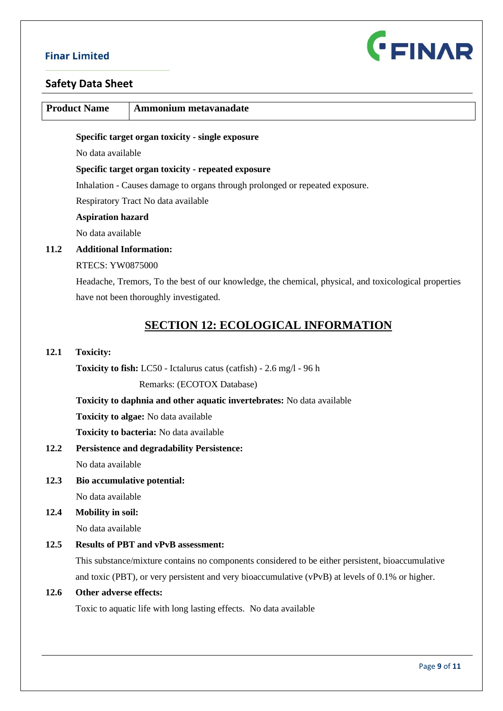

# **Safety Data Sheet**

|      | <b>Product Name</b>                                                          | Ammonium metavanadate                                                                                 |  |  |
|------|------------------------------------------------------------------------------|-------------------------------------------------------------------------------------------------------|--|--|
|      |                                                                              | Specific target organ toxicity - single exposure                                                      |  |  |
|      | No data available                                                            |                                                                                                       |  |  |
|      | Specific target organ toxicity - repeated exposure                           |                                                                                                       |  |  |
|      | Inhalation - Causes damage to organs through prolonged or repeated exposure. |                                                                                                       |  |  |
|      |                                                                              | Respiratory Tract No data available                                                                   |  |  |
|      | <b>Aspiration hazard</b>                                                     |                                                                                                       |  |  |
|      | No data available                                                            |                                                                                                       |  |  |
| 11.2 | <b>Additional Information:</b>                                               |                                                                                                       |  |  |
|      | <b>RTECS: YW0875000</b>                                                      |                                                                                                       |  |  |
|      |                                                                              | Headache, Tremors, To the best of our knowledge, the chemical, physical, and toxicological properties |  |  |
|      |                                                                              | have not been thoroughly investigated.                                                                |  |  |
|      |                                                                              |                                                                                                       |  |  |
|      |                                                                              | <b>SECTION 12: ECOLOGICAL INFORMATION</b>                                                             |  |  |
| 12.1 | <b>Toxicity:</b>                                                             |                                                                                                       |  |  |
|      |                                                                              | Toxicity to fish: LC50 - Ictalurus catus (catfish) - 2.6 mg/l - 96 h                                  |  |  |
|      |                                                                              | Remarks: (ECOTOX Database)                                                                            |  |  |
|      |                                                                              | Toxicity to daphnia and other aquatic invertebrates: No data available                                |  |  |
|      |                                                                              | <b>Toxicity to algae:</b> No data available                                                           |  |  |
|      |                                                                              | Toxicity to bacteria: No data available                                                               |  |  |
| 12.2 |                                                                              | <b>Persistence and degradability Persistence:</b>                                                     |  |  |
|      | No data available                                                            |                                                                                                       |  |  |
| 12.3 |                                                                              | Bio accumulative potential:                                                                           |  |  |
|      | No data available                                                            |                                                                                                       |  |  |
| 12.4 | <b>Mobility in soil:</b>                                                     |                                                                                                       |  |  |
|      | No data available                                                            |                                                                                                       |  |  |
| 12.5 |                                                                              | <b>Results of PBT and vPvB assessment:</b>                                                            |  |  |
|      |                                                                              | This substance/mixture contains no components considered to be either persistent, bioaccumulative     |  |  |
|      |                                                                              | and toxic (PBT), or very persistent and very bioaccumulative (vPvB) at levels of 0.1% or higher.      |  |  |
| 12.6 | Other adverse effects:                                                       |                                                                                                       |  |  |
|      |                                                                              | Toxic to aquatic life with long lasting effects. No data available                                    |  |  |
|      |                                                                              |                                                                                                       |  |  |
|      |                                                                              | Page 9 of 11                                                                                          |  |  |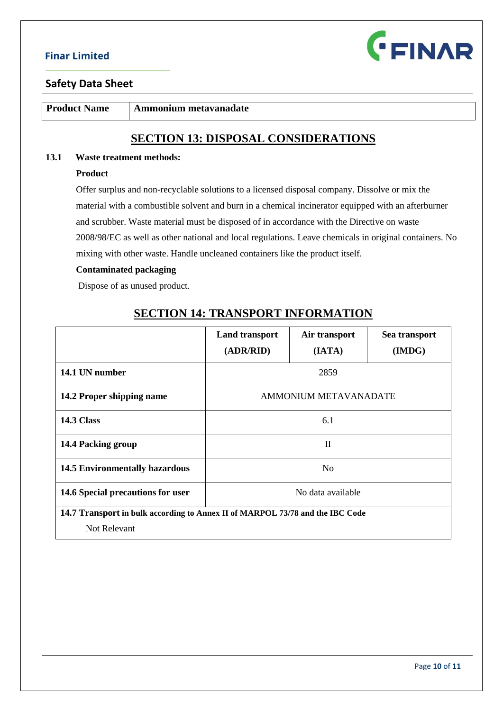

### **Safety Data Sheet**

**Product Name** Ammonium metavanadate

# **SECTION 13: DISPOSAL CONSIDERATIONS**

### **13.1 Waste treatment methods:**

#### **Product**

Offer surplus and non-recyclable solutions to a licensed disposal company. Dissolve or mix the material with a combustible solvent and burn in a chemical incinerator equipped with an afterburner and scrubber. Waste material must be disposed of in accordance with the Directive on waste 2008/98/EC as well as other national and local regulations. Leave chemicals in original containers. No mixing with other waste. Handle uncleaned containers like the product itself.

#### **Contaminated packaging**

Dispose of as unused product.

# **SECTION 14: TRANSPORT INFORMATION**

|                                                                               | <b>Land transport</b>        | Air transport | Sea transport |
|-------------------------------------------------------------------------------|------------------------------|---------------|---------------|
|                                                                               | (ADR/RID)                    | (IATA)        | (IMDG)        |
| 14.1 UN number                                                                | 2859                         |               |               |
| 14.2 Proper shipping name                                                     | <b>AMMONIUM METAVANADATE</b> |               |               |
| <b>14.3 Class</b>                                                             | 6.1                          |               |               |
| 14.4 Packing group                                                            | $\mathbf{I}$                 |               |               |
| <b>14.5 Environmentally hazardous</b>                                         | N <sub>0</sub>               |               |               |
| 14.6 Special precautions for user                                             | No data available            |               |               |
| 14.7 Transport in bulk according to Annex II of MARPOL 73/78 and the IBC Code |                              |               |               |
| Not Relevant                                                                  |                              |               |               |